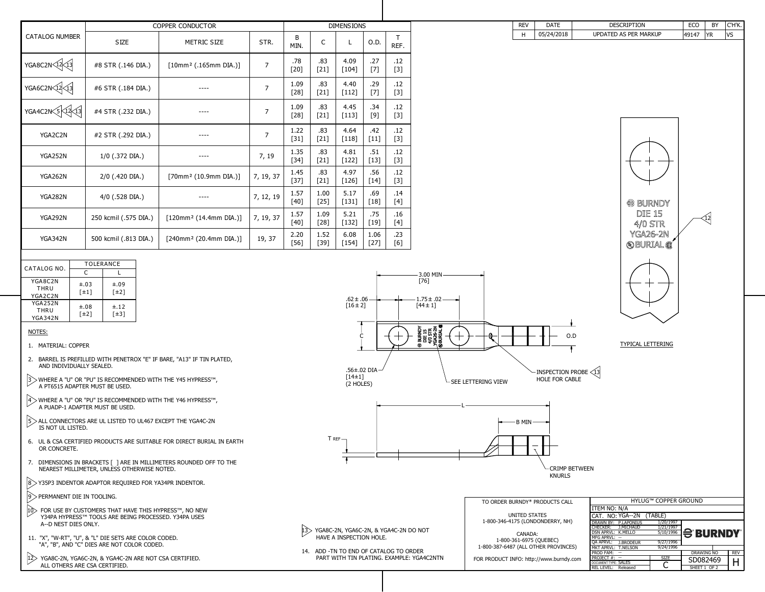| CATALOG NO.                                     | <b>TOLERANCE</b>                  |                                   |  |  |  |
|-------------------------------------------------|-----------------------------------|-----------------------------------|--|--|--|
|                                                 | C                                 |                                   |  |  |  |
| YGA8C2N<br><b>THRU</b><br>YGA2C2N               | $\pm.03$<br>$\lceil \pm 1 \rceil$ | $\pm.09$<br>$\lceil \pm 2 \rceil$ |  |  |  |
| <b>YGA252N</b><br><b>THRU</b><br><b>YGA342N</b> | $\pm.08$<br>$\lceil \pm 2 \rceil$ | $\pm .12$<br>[±3]                 |  |  |  |

|                                         | <b>COPPER CONDUCTOR</b><br><b>DIMENSIONS</b> |                                       |                |                |                |                 |                |              |
|-----------------------------------------|----------------------------------------------|---------------------------------------|----------------|----------------|----------------|-----------------|----------------|--------------|
| <b>CATALOG NUMBER</b>                   | <b>SIZE</b>                                  | <b>METRIC SIZE</b>                    | STR.           | B<br>MIN.      | $\mathsf{C}$   | L               | 0.D.           | T<br>REF.    |
| $YGABC2N\sqrt{12}\sqrt{13}$             | #8 STR (.146 DIA.)                           | $[10mm2$ (.165mm DIA.)]               | $\overline{7}$ | .78<br>$[20]$  | .83<br>$[21]$  | 4.09<br>$[104]$ | .27<br>$[7]$   | .12<br>$[3]$ |
| $YGA6C2N\left(12\right)\left(13\right)$ | #6 STR (.184 DIA.)                           |                                       | $\overline{7}$ | 1.09<br>$[28]$ | .83<br>$[21]$  | 4.40<br>$[112]$ | .29<br>$[7]$   | .12<br>$[3]$ |
| YGA4C2N 5 12 13                         | #4 STR (.232 DIA.)                           |                                       | $\overline{7}$ | 1.09<br>$[28]$ | .83<br>$[21]$  | 4.45<br>$[113]$ | .34<br>[9]     | .12<br>$[3]$ |
| YGA2C2N                                 | #2 STR (.292 DIA.)                           |                                       | $\overline{7}$ | 1.22<br>$[31]$ | .83<br>$[21]$  | 4.64<br>$[118]$ | .42<br>$[11]$  | .12<br>$[3]$ |
| YGA252N                                 | $1/0$ (.372 DIA.)                            |                                       | 7, 19          | 1.35<br>$[34]$ | .83<br>$[21]$  | 4.81<br>$[122]$ | .51<br>$[13]$  | .12<br>$[3]$ |
| <b>YGA262N</b>                          | 2/0 (.420 DIA.)                              | [70mm <sup>2</sup> (10.9mm DIA.)]     | 7, 19, 37      | 1.45<br>$[37]$ | .83<br>$[21]$  | 4.97<br>$[126]$ | .56<br>$[14]$  | .12<br>$[3]$ |
| <b>YGA282N</b>                          | $4/0$ (.528 DIA.)                            |                                       | 7, 12, 19      | 1.57<br>$[40]$ | 1.00<br>$[25]$ | 5.17<br>$[131]$ | .69<br>$[18]$  | .14<br>[4]   |
| <b>YGA292N</b>                          | 250 kcmil (.575 DIA.)                        | [120mm <sup>2</sup> (14.4mm DIA.)]    | 7, 19, 37      | 1.57<br>$[40]$ | 1.09<br>$[28]$ | 5.21<br>$[132]$ | .75<br>$[19]$  | .16<br>$[4]$ |
| <b>YGA342N</b>                          | 500 kcmil (.813 DIA.)                        | $[240$ mm <sup>2</sup> (20.4mm DIA.)] | 19, 37         | 2.20<br>$[56]$ | 1.52<br>$[39]$ | 6.08<br>$[154]$ | 1.06<br>$[27]$ | .23<br>[6]   |

## NOTES:

1. MATERIAL: COPPER

- 2. BARREL IS PREFILLED WITH PENETROX "E" IF BARE, "A13" IF TIN PLATED, AND INDIVIDUALLY SEALED.
- 3 WHERE A "U" OR "PU" IS RECOMMENDED WITH THE Y45 HYPRESS™, A PT6515 ADAPTER MUST BE USED.
- $|4\rangle$  WHERE A "U" OR "PU" IS RECOMMENDED WITH THE Y46 HYPRESS<sup>TM</sup>, A PUADP-1 ADAPTER MUST BE USED.
- $5$  ALL CONNECTORS ARE UL LISTED TO UL467 EXCEPT THE YGA4C-2N IS NOT UL LISTED.
- 6. UL & CSA CERTIFIED PRODUCTS ARE SUITABLE FOR DIRECT BURIAL IN EARTH OR CONCRETE.
- 7. DIMENSIONS IN BRACKETS [ ] ARE IN MILLIMETERS ROUNDED OFF TO THE NEAREST MILLIMETER, UNLESS OTHERWISE NOTED.
- $|8\rangle$  Y35P3 INDENTOR ADAPTOR REQUIRED FOR YA34PR INDENTOR.
- 9> PERMANENT DIE IN TOOLING.
- 10 FOR USE BY CUSTOMERS THAT HAVE THIS HYPRESS™, NO NEW Y34PA HYPRESS™ TOOLS ARE BEING PROCESSED. Y34PA USES A--D NEST DIES ONLY.
- 11. "X", "W-RT", "U", & "L" DIE SETS ARE COLOR CODED. "A", "B", AND "C" DIES ARE NOT COLOR CODED.
- YGA8C-2N, YGA6C-2N, & YGA4C-2N ARE NOT CSA CERTIFIED. ALL OTHERS ARE CSA CERTIFIED. 12







14. ADD -TN TO END OF CATALOG TO ORDER PART WITH TIN PLATING. EXAMPLE: YGA4C2NTN